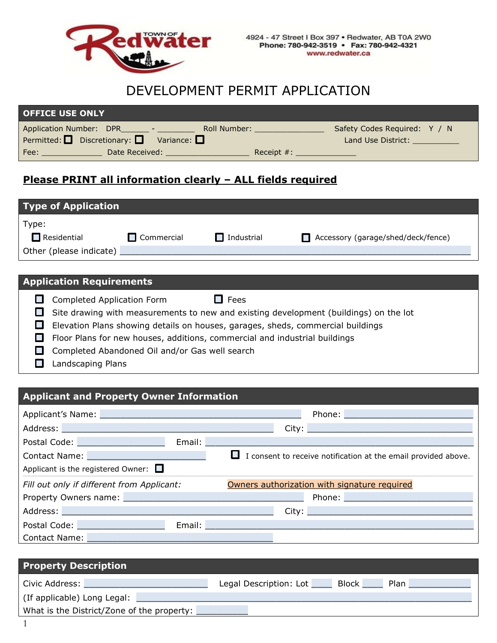

# DEVELOPMENT PERMIT APPLICATION

| <b>OFFICE USE ONLY</b>                                                |                                       |
|-----------------------------------------------------------------------|---------------------------------------|
| Application Number: DPR<br>Roll Number:<br><u> Tanzania (m. 1858)</u> | Safety Codes Required: Y / N          |
| Permitted: $\Box$ Discretionary: $\Box$ Variance: $\Box$              | Land Use District: The Canada Control |
| Date Received:<br>Fee:                                                | Receipt $#$ :                         |

## **Please PRINT all information clearly – ALL fields required**

| <b>Type of Application</b> |                   |                   |                                    |
|----------------------------|-------------------|-------------------|------------------------------------|
| Type:                      |                   |                   |                                    |
| $\Box$ Residential         | $\Box$ Commercial | $\Box$ Industrial | Accessory (garage/shed/deck/fence) |
| Other (please indicate)    |                   |                   |                                    |

### **Application Requirements**

| l I                         | Completed Application Form<br>$\Box$ Fees                                             |
|-----------------------------|---------------------------------------------------------------------------------------|
|                             | Site drawing with measurements to new and existing development (buildings) on the lot |
| $\mathcal{L}^{\mathcal{A}}$ | Elevation Plans showing details on houses, garages, sheds, commercial buildings       |
|                             | Floor Plans for new houses, additions, commercial and industrial buildings            |
| $\mathbf{I}$                | Completed Abandoned Oil and/or Gas well search                                        |
|                             | Landscaping Plans                                                                     |

#### **Applicant and Property Owner Information**

| Applicant's Name: Name: Name and Applicant and Applicant is not all the set of the Applicant of the Applicant of the Applicant of the Applicant of the Applicant of the Applicant of the Applicant of the Applicant of the App | Phone: 2008 2010 2010 2010 2010 2011 2021 2022 2023 2024 2022 2023 2024 2022 2023 2024 2022 2023 2024 2025 20                                                                                                                  |
|--------------------------------------------------------------------------------------------------------------------------------------------------------------------------------------------------------------------------------|--------------------------------------------------------------------------------------------------------------------------------------------------------------------------------------------------------------------------------|
| Address: North Address: North Address: North Address: North Address: North Address: North Address: North Address: North Address: North Address: North Address: North Address: North Address: North Address: North Address: Nor |                                                                                                                                                                                                                                |
| Postal Code: New York Postal Code:                                                                                                                                                                                             | Email: <u>Alexander Alexander Alexander Alexander Alexander Alexander Alexander Alexander Alexander Alexander Alex</u>                                                                                                         |
| Contact Name: Name: Name and Name and Name and Name and Name and Name and Name and Name and Name and Name and N                                                                                                                | $\Box$ I consent to receive notification at the email provided above.                                                                                                                                                          |
| Applicant is the registered Owner: $\Box$                                                                                                                                                                                      |                                                                                                                                                                                                                                |
| Fill out only if different from Applicant:                                                                                                                                                                                     | Owners authorization with signature required                                                                                                                                                                                   |
| Property Owners name: Manual Manual Manual Manual Manual Manual Manual Manual Manual Manual Manual Manual Manu                                                                                                                 | Phone: New York Phone: New York Phone: New York Phone: New York Phone: New York Phone: New York Phone: New York Phone: New York Phone: New York Phone: New York Phone: New York Phone: New York Phone: New York Phone: New Yor |
| Address: No. 2014   Address: No. 2014   Address: No. 2014   Address: No. 2014   Address: No. 2014   Address: N                                                                                                                 |                                                                                                                                                                                                                                |
| Postal Code: New York Postal Code:                                                                                                                                                                                             | Email: Email: Email: Email: Email: Email: Email: Email: Email: Email: Email: Email: Email: Email: Email: Email: Email: Email: Email: Email: Email: Email: Email: Email: Email: Email: Email: Email: Email: Email: Email: Email |
| <b>Contact Name: Contact Name: Contact Name: Contact Name: Contact Name: Contact Act 2006</b>                                                                                                                                  |                                                                                                                                                                                                                                |

| <b>Property Description</b>                |                                                |  |
|--------------------------------------------|------------------------------------------------|--|
| Civic Address:                             | Legal Description: Lot<br><b>Block</b><br>Plan |  |
| (If applicable) Long Legal:                |                                                |  |
| What is the District/Zone of the property: |                                                |  |
|                                            |                                                |  |